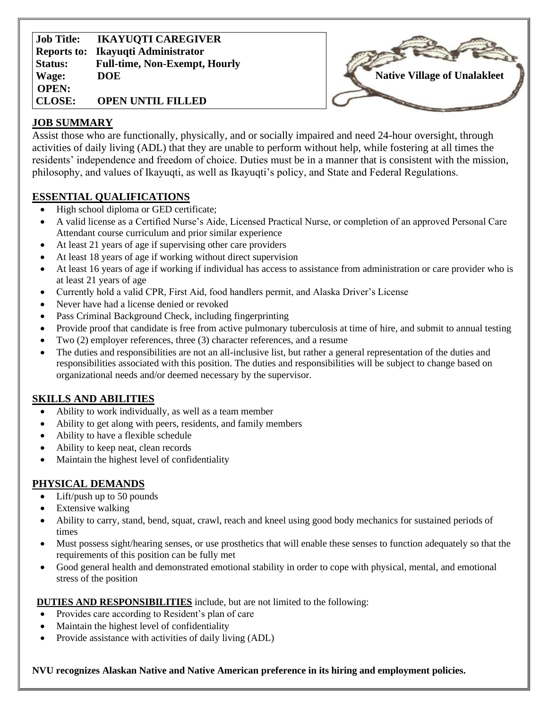| <b>IKAYUQTI CAREGIVER</b><br><b>Job Title:</b>         |  |
|--------------------------------------------------------|--|
| <b>Ikayuqti Administrator</b><br><b>Reports to:</b>    |  |
| <b>Full-time, Non-Exempt, Hourly</b><br><b>Status:</b> |  |
| <b>DOE</b><br>Wage:                                    |  |
| <b>OPEN:</b>                                           |  |
| <b>CLOSE:</b><br><b>OPEN UNTIL FILLED</b>              |  |



## **JOB SUMMARY**

Assist those who are functionally, physically, and or socially impaired and need 24-hour oversight, through activities of daily living (ADL) that they are unable to perform without help, while fostering at all times the residents' independence and freedom of choice. Duties must be in a manner that is consistent with the mission, philosophy, and values of Ikayuqti, as well as Ikayuqti's policy, and State and Federal Regulations.

## **ESSENTIAL QUALIFICATIONS**

- High school diploma or GED certificate;
- A valid license as a Certified Nurse's Aide, Licensed Practical Nurse, or completion of an approved Personal Care Attendant course curriculum and prior similar experience
- At least 21 years of age if supervising other care providers
- At least 18 years of age if working without direct supervision
- At least 16 years of age if working if individual has access to assistance from administration or care provider who is at least 21 years of age
- Currently hold a valid CPR, First Aid, food handlers permit, and Alaska Driver's License
- Never have had a license denied or revoked
- Pass Criminal Background Check, including fingerprinting
- Provide proof that candidate is free from active pulmonary tuberculosis at time of hire, and submit to annual testing
- Two (2) employer references, three (3) character references, and a resume
- The duties and responsibilities are not an all-inclusive list, but rather a general representation of the duties and responsibilities associated with this position. The duties and responsibilities will be subject to change based on organizational needs and/or deemed necessary by the supervisor.

## **SKILLS AND ABILITIES**

- Ability to work individually, as well as a team member
- Ability to get along with peers, residents, and family members
- Ability to have a flexible schedule
- Ability to keep neat, clean records
- Maintain the highest level of confidentiality

## **PHYSICAL DEMANDS**

- Lift/push up to 50 pounds
- Extensive walking
- Ability to carry, stand, bend, squat, crawl, reach and kneel using good body mechanics for sustained periods of times
- Must possess sight/hearing senses, or use prosthetics that will enable these senses to function adequately so that the requirements of this position can be fully met
- Good general health and demonstrated emotional stability in order to cope with physical, mental, and emotional stress of the position

**DUTIES AND RESPONSIBILITIES** include, but are not limited to the following:

- Provides care according to Resident's plan of care
- Maintain the highest level of confidentiality
- Provide assistance with activities of daily living (ADL)

**NVU recognizes Alaskan Native and Native American preference in its hiring and employment policies.**